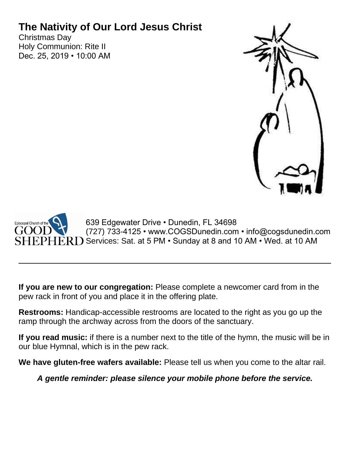# **The Nativity of Our Lord Jesus Christ**

Christmas Day Holy Communion: Rite II Dec. 25, 2019 • 10:00 AM





**If you are new to our congregation:** Please complete a newcomer card from in the pew rack in front of you and place it in the offering plate.

**Restrooms:** Handicap-accessible restrooms are located to the right as you go up the ramp through the archway across from the doors of the sanctuary.

**If you read music:** if there is a number next to the title of the hymn, the music will be in our blue Hymnal, which is in the pew rack.

**We have gluten-free wafers available:** Please tell us when you come to the altar rail.

*A gentle reminder: please silence your mobile phone before the service.*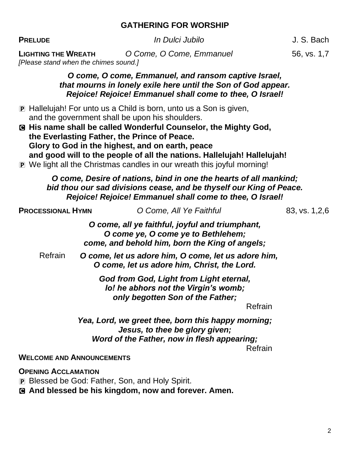#### **GATHERING FOR WORSHIP**

**PRELUDE** *In Dulci Jubilo* J. S. Bach

**LIGHTING THE WREATH** *O Come, O Come, Emmanuel* 56, vs. 1,7 *[Please stand when the chimes sound.]*

#### *O come, O come, Emmanuel, and ransom captive Israel, that mourns in lonely exile here until the Son of God appear. Rejoice! Rejoice! Emmanuel shall come to thee, O Israel!*

- P Hallelujah! For unto us a Child is born, unto us a Son is given, and the government shall be upon his shoulders.
- C **His name shall be called Wonderful Counselor, the Mighty God, the Everlasting Father, the Prince of Peace. Glory to God in the highest, and on earth, peace and good will to the people of all the nations. Hallelujah! Hallelujah!**
- P We light all the Christmas candles in our wreath this joyful morning!

#### *O come, Desire of nations, bind in one the hearts of all mankind; bid thou our sad divisions cease, and be thyself our King of Peace. Rejoice! Rejoice! Emmanuel shall come to thee, O Israel!*

| <b>PROCESSIONAL HYMN</b>                                                                                          | O Come, All Ye Faithful                                                                                                                        | 83, vs. 1, 2, 6 |
|-------------------------------------------------------------------------------------------------------------------|------------------------------------------------------------------------------------------------------------------------------------------------|-----------------|
|                                                                                                                   | O come, all ye faithful, joyful and triumphant,<br>O come ye, O come ye to Bethlehem;<br>come, and behold him, born the King of angels;        |                 |
| Refrain                                                                                                           | O come, let us adore him, O come, let us adore him,<br>O come, let us adore him, Christ, the Lord.                                             |                 |
|                                                                                                                   | God from God, Light from Light eternal,<br>lo! he abhors not the Virgin's womb;<br>only begotten Son of the Father;<br>Refrain                 |                 |
|                                                                                                                   | Yea, Lord, we greet thee, born this happy morning;<br>Jesus, to thee be glory given;<br>Word of the Father, now in flesh appearing;<br>Refrain |                 |
| <b>WELCOME AND ANNOUNCEMENTS</b>                                                                                  |                                                                                                                                                |                 |
| $\bigcap$ $=$ $\bigcup_{i=1}^{n}$ $\bigcap_{i=1}^{n}$ $\bigcap_{i=1}^{n}$ $\bigcap_{i=1}^{n}$ $\bigcap_{i=1}^{n}$ |                                                                                                                                                |                 |

**OPENING ACCLAMATION**

P Blessed be God: Father, Son, and Holy Spirit.

C **And blessed be his kingdom, now and forever. Amen.**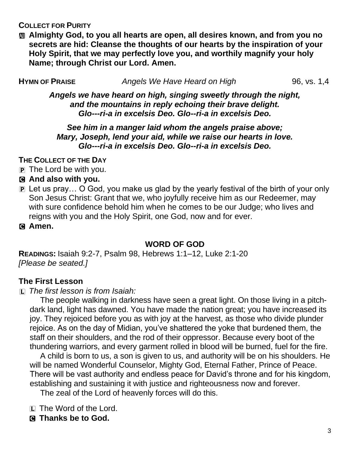**COLLECT FOR PURITY**

a **Almighty God, to you all hearts are open, all desires known, and from you no secrets are hid: Cleanse the thoughts of our hearts by the inspiration of your Holy Spirit, that we may perfectly love you, and worthily magnify your holy Name; through Christ our Lord. Amen.**

**H**YMN OF PRAISE *Angels We Have Heard on High* 96, vs. 1,4

*Angels we have heard on high, singing sweetly through the night, and the mountains in reply echoing their brave delight. Glo---ri-a in excelsis Deo. Glo--ri-a in excelsis Deo.*

#### *See him in a manger laid whom the angels praise above; Mary, Joseph, lend your aid, while we raise our hearts in love. Glo---ri-a in excelsis Deo. Glo--ri-a in excelsis Deo.*

**THE COLLECT OF THE DAY**

- $\overline{p}$  The Lord be with you.
- C **And also with you.**
- P Let us pray… O God, you make us glad by the yearly festival of the birth of your only Son Jesus Christ: Grant that we, who joyfully receive him as our Redeemer, may with sure confidence behold him when he comes to be our Judge; who lives and reigns with you and the Holy Spirit, one God, now and for ever.

C **Amen.**

## **WORD OF GOD**

**READINGS:** Isaiah 9:2-7, Psalm 98, Hebrews 1:1–12, Luke 2:1-20 *[Please be seated.]*

## **The First Lesson**

L *The first lesson is from Isaiah:*

The people walking in darkness have seen a great light. On those living in a pitchdark land, light has dawned. You have made the nation great; you have increased its joy. They rejoiced before you as with joy at the harvest, as those who divide plunder rejoice. As on the day of Midian, you've shattered the yoke that burdened them, the staff on their shoulders, and the rod of their oppressor. Because every boot of the thundering warriors, and every garment rolled in blood will be burned, fuel for the fire.

A child is born to us, a son is given to us, and authority will be on his shoulders. He will be named Wonderful Counselor, Mighty God, Eternal Father, Prince of Peace. There will be vast authority and endless peace for David's throne and for his kingdom, establishing and sustaining it with justice and righteousness now and forever.

The zeal of the Lord of heavenly forces will do this.

L The Word of the Lord.

C **Thanks be to God.**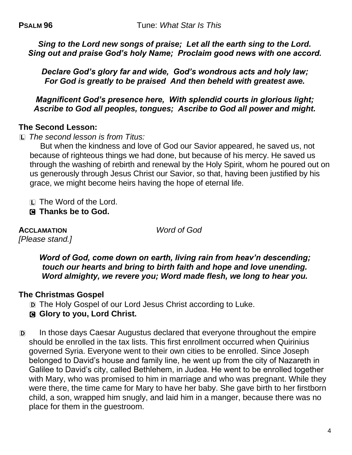*Sing to the Lord new songs of praise; Let all the earth sing to the Lord. Sing out and praise God's holy Name; Proclaim good news with one accord.*

*Declare God's glory far and wide, God's wondrous acts and holy law; For God is greatly to be praised And then beheld with greatest awe.*

*Magnificent God's presence here, With splendid courts in glorious light; Ascribe to God all peoples, tongues; Ascribe to God all power and might.*

#### **The Second Lesson:**

L *The second lesson is from Titus:*

But when the kindness and love of God our Savior appeared, he saved us, not because of righteous things we had done, but because of his mercy. He saved us through the washing of rebirth and renewal by the Holy Spirit, whom he poured out on us generously through Jesus Christ our Savior, so that, having been justified by his grace, we might become heirs having the hope of eternal life.

L The Word of the Lord.

C **Thanks be to God.**

**ACCLAMATION** *Word of God [Please stand.]*

*Word of God, come down on earth, living rain from heav'n descending; touch our hearts and bring to birth faith and hope and love unending. Word almighty, we revere you; Word made flesh, we long to hear you.*

#### **The Christmas Gospel**

- D The Holy Gospel of our Lord Jesus Christ according to Luke.
- C **Glory to you, Lord Christ.**
- D In those days Caesar Augustus declared that everyone throughout the empire should be enrolled in the tax lists. This first enrollment occurred when Quirinius governed Syria. Everyone went to their own cities to be enrolled. Since Joseph belonged to David's house and family line, he went up from the city of Nazareth in Galilee to David's city, called Bethlehem, in Judea. He went to be enrolled together with Mary, who was promised to him in marriage and who was pregnant. While they were there, the time came for Mary to have her baby. She gave birth to her firstborn child, a son, wrapped him snugly, and laid him in a manger, because there was no place for them in the guestroom.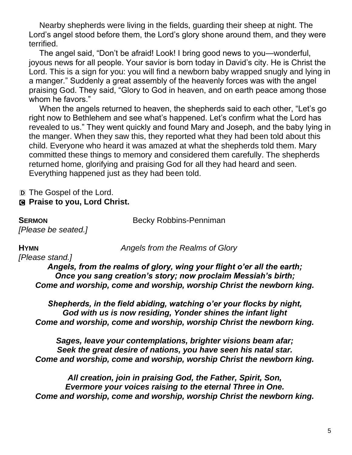Nearby shepherds were living in the fields, guarding their sheep at night. The Lord's angel stood before them, the Lord's glory shone around them, and they were terrified.

The angel said, "Don't be afraid! Look! I bring good news to you—wonderful, joyous news for all people. Your savior is born today in David's city. He is Christ the Lord. This is a sign for you: you will find a newborn baby wrapped snugly and lying in a manger." Suddenly a great assembly of the heavenly forces was with the angel praising God. They said, "Glory to God in heaven, and on earth peace among those whom he favors."

When the angels returned to heaven, the shepherds said to each other, "Let's go right now to Bethlehem and see what's happened. Let's confirm what the Lord has revealed to us." They went quickly and found Mary and Joseph, and the baby lying in the manger. When they saw this, they reported what they had been told about this child. Everyone who heard it was amazed at what the shepherds told them. Mary committed these things to memory and considered them carefully. The shepherds returned home, glorifying and praising God for all they had heard and seen. Everything happened just as they had been told.

#### D The Gospel of the Lord. C **Praise to you, Lord Christ.**

**SERMON** Becky Robbins-Penniman

*[Please be seated.]*

**HYMN** *Angels from the Realms of Glory*

*[Please stand.] Angels, from the realms of glory, wing your flight o'er all the earth; Once you sang creation's story; now proclaim Messiah's birth; Come and worship, come and worship, worship Christ the newborn king.*

*Shepherds, in the field abiding, watching o'er your flocks by night, God with us is now residing, Yonder shines the infant light Come and worship, come and worship, worship Christ the newborn king.*

*Sages, leave your contemplations, brighter visions beam afar; Seek the great desire of nations, you have seen his natal star. Come and worship, come and worship, worship Christ the newborn king.*

*All creation, join in praising God, the Father, Spirit, Son, Evermore your voices raising to the eternal Three in One. Come and worship, come and worship, worship Christ the newborn king.*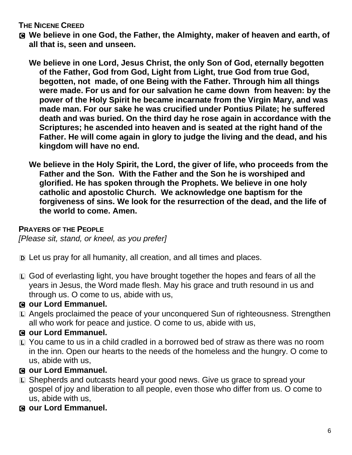#### **THE NICENE CREED**

- C **We believe in one God, the Father, the Almighty, maker of heaven and earth, of all that is, seen and unseen.**
	- **We believe in one Lord, Jesus Christ, the only Son of God, eternally begotten of the Father, God from God, Light from Light, true God from true God, begotten, not made, of one Being with the Father. Through him all things were made. For us and for our salvation he came down from heaven: by the power of the Holy Spirit he became incarnate from the Virgin Mary, and was made man. For our sake he was crucified under Pontius Pilate; he suffered death and was buried. On the third day he rose again in accordance with the Scriptures; he ascended into heaven and is seated at the right hand of the Father. He will come again in glory to judge the living and the dead, and his kingdom will have no end.**
	- **We believe in the Holy Spirit, the Lord, the giver of life, who proceeds from the Father and the Son. With the Father and the Son he is worshiped and glorified. He has spoken through the Prophets. We believe in one holy catholic and apostolic Church. We acknowledge one baptism for the forgiveness of sins. We look for the resurrection of the dead, and the life of the world to come. Amen.**

#### **PRAYERS OF THE PEOPLE**

*[Please sit, stand, or kneel, as you prefer]*

- D Let us pray for all humanity, all creation, and all times and places.
- L God of everlasting light, you have brought together the hopes and fears of all the years in Jesus, the Word made flesh. May his grace and truth resound in us and through us. O come to us, abide with us,

## C **our Lord Emmanuel.**

L Angels proclaimed the peace of your unconquered Sun of righteousness. Strengthen all who work for peace and justice. O come to us, abide with us,

## C **our Lord Emmanuel.**

L You came to us in a child cradled in a borrowed bed of straw as there was no room in the inn. Open our hearts to the needs of the homeless and the hungry. O come to us, abide with us,

## C **our Lord Emmanuel.**

- L Shepherds and outcasts heard your good news. Give us grace to spread your gospel of joy and liberation to all people, even those who differ from us. O come to us, abide with us,
- C **our Lord Emmanuel.**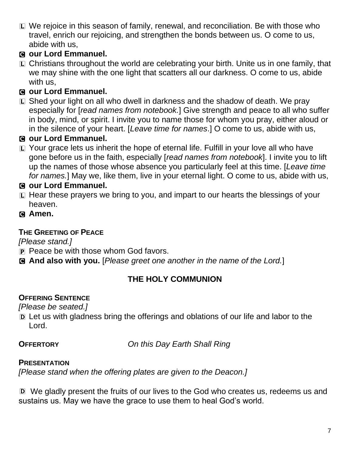L We rejoice in this season of family, renewal, and reconciliation. Be with those who travel, enrich our rejoicing, and strengthen the bonds between us. O come to us, abide with us,

## C **our Lord Emmanuel.**

L Christians throughout the world are celebrating your birth. Unite us in one family, that we may shine with the one light that scatters all our darkness. O come to us, abide with us,

## C **our Lord Emmanuel.**

L Shed your light on all who dwell in darkness and the shadow of death. We pray especially for [*read names from notebook.*] Give strength and peace to all who suffer in body, mind, or spirit. I invite you to name those for whom you pray, either aloud or in the silence of your heart. [*Leave time for names*.] O come to us, abide with us,

## C **our Lord Emmanuel.**

L Your grace lets us inherit the hope of eternal life. Fulfill in your love all who have gone before us in the faith, especially [*read names from notebook*]. I invite you to lift up the names of those whose absence you particularly feel at this time. [*Leave time for names.*] May we, like them, live in your eternal light. O come to us, abide with us,

## C **our Lord Emmanuel.**

- L Hear these prayers we bring to you, and impart to our hearts the blessings of your heaven.
- C **Amen.**

## **THE GREETING OF PEACE**

*[Please stand.]*

- P Peace be with those whom God favors.
- C **And also with you.** [*Please greet one another in the name of the Lord.*]

## **THE HOLY COMMUNION**

## **OFFERING SENTENCE**

*[Please be seated.]*

D Let us with gladness bring the offerings and oblations of our life and labor to the Lord.

**OFFERTORY** *On this Day Earth Shall Ring*

## **PRESENTATION**

*[Please stand when the offering plates are given to the Deacon.]*

D We gladly present the fruits of our lives to the God who creates us, redeems us and sustains us. May we have the grace to use them to heal God's world.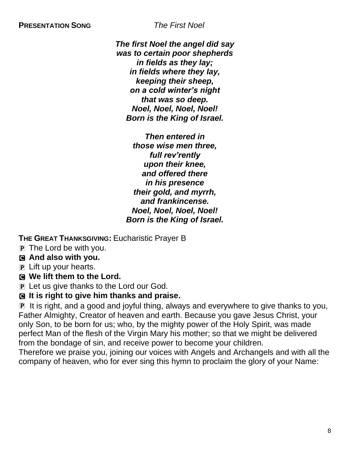*The first Noel the angel did say was to certain poor shepherds in fields as they lay; in fields where they lay, keeping their sheep, on a cold winter's night that was so deep. Noel, Noel, Noel, Noel! Born is the King of Israel.*

*Then entered in those wise men three, full rev'rently upon their knee, and offered there in his presence their gold, and myrrh, and frankincense. Noel, Noel, Noel, Noel! Born is the King of Israel.*

**THE GREAT THANKSGIVING:** Eucharistic Prayer B

 $\overline{P}$  The Lord be with you.

C **And also with you.**

P Lift up your hearts.

C **We lift them to the Lord.**

P Let us give thanks to the Lord our God.

## C **It is right to give him thanks and praise.**

P It is right, and a good and joyful thing, always and everywhere to give thanks to you, Father Almighty, Creator of heaven and earth. Because you gave Jesus Christ, your only Son, to be born for us; who, by the mighty power of the Holy Spirit, was made perfect Man of the flesh of the Virgin Mary his mother; so that we might be delivered from the bondage of sin, and receive power to become your children.

Therefore we praise you, joining our voices with Angels and Archangels and with all the company of heaven, who for ever sing this hymn to proclaim the glory of your Name: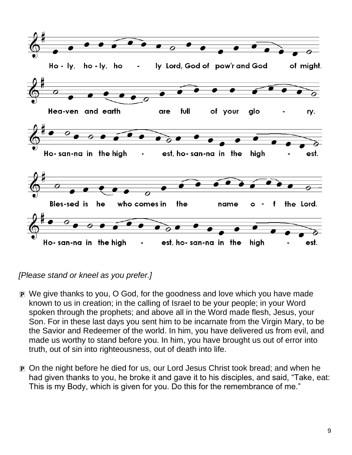

*[Please stand or kneel as you prefer.]*

- P We give thanks to you, O God, for the goodness and love which you have made known to us in creation; in the calling of Israel to be your people; in your Word spoken through the prophets; and above all in the Word made flesh, Jesus, your Son. For in these last days you sent him to be incarnate from the Virgin Mary, to be the Savior and Redeemer of the world. In him, you have delivered us from evil, and made us worthy to stand before you. In him, you have brought us out of error into truth, out of sin into righteousness, out of death into life.
- P On the night before he died for us, our Lord Jesus Christ took bread; and when he had given thanks to you, he broke it and gave it to his disciples, and said, "Take, eat: This is my Body, which is given for you. Do this for the remembrance of me."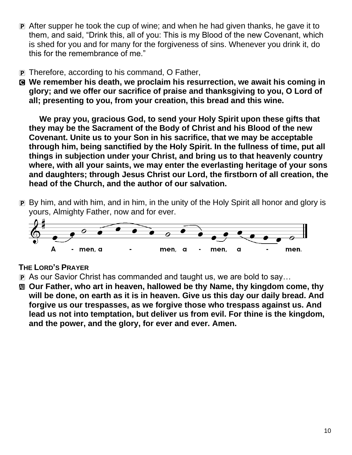- P After supper he took the cup of wine; and when he had given thanks, he gave it to them, and said, "Drink this, all of you: This is my Blood of the new Covenant, which is shed for you and for many for the forgiveness of sins. Whenever you drink it, do this for the remembrance of me."
- P Therefore, according to his command, O Father,
- C **We remember his death, we proclaim his resurrection, we await his coming in glory; and we offer our sacrifice of praise and thanksgiving to you, O Lord of all; presenting to you, from your creation, this bread and this wine.**

**We pray you, gracious God, to send your Holy Spirit upon these gifts that they may be the Sacrament of the Body of Christ and his Blood of the new Covenant. Unite us to your Son in his sacrifice, that we may be acceptable through him, being sanctified by the Holy Spirit. In the fullness of time, put all things in subjection under your Christ, and bring us to that heavenly country where, with all your saints, we may enter the everlasting heritage of your sons and daughters; through Jesus Christ our Lord, the firstborn of all creation, the head of the Church, and the author of our salvation.**

P By him, and with him, and in him, in the unity of the Holy Spirit all honor and glory is yours, Almighty Father, now and for ever.



## **THE LORD'S PRAYER**

- P As our Savior Christ has commanded and taught us, we are bold to say…
- **M** Our Father, who art in heaven, hallowed be thy Name, thy kingdom come, thy **will be done, on earth as it is in heaven. Give us this day our daily bread. And forgive us our trespasses, as we forgive those who trespass against us. And lead us not into temptation, but deliver us from evil. For thine is the kingdom, and the power, and the glory, for ever and ever. Amen.**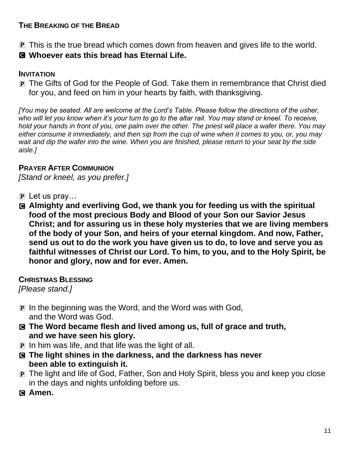#### **THE BREAKING OF THE BREAD**

- P This is the true bread which comes down from heaven and gives life to the world.
- C **Whoever eats this bread has Eternal Life.**

#### **INVITATION**

P The Gifts of God for the People of God. Take them in remembrance that Christ died for you, and feed on him in your hearts by faith, with thanksgiving.

*[You may be seated. All are welcome at the Lord's Table. Please follow the directions of the usher, who will let you know when it's your turn to go to the altar rail. You may stand or kneel. To receive, hold your hands in front of you, one palm over the other. The priest will place a wafer there. You may either consume it immediately, and then sip from the cup of wine when it comes to you, or, you may wait and dip the wafer into the wine. When you are finished, please return to your seat by the side aisle.]*

## **PRAYER AFTER COMMUNION**

*[Stand or kneel, as you prefer.]*

- $\overline{p}$  Let us pray...
- C **Almighty and everliving God, we thank you for feeding us with the spiritual food of the most precious Body and Blood of your Son our Savior Jesus Christ; and for assuring us in these holy mysteries that we are living members of the body of your Son, and heirs of your eternal kingdom. And now, Father, send us out to do the work you have given us to do, to love and serve you as faithful witnesses of Christ our Lord. To him, to you, and to the Holy Spirit, be honor and glory, now and for ever. Amen.**

**CHRISTMAS BLESSING**

*[Please stand.]*

- P In the beginning was the Word, and the Word was with God, and the Word was God.
- C **The Word became flesh and lived among us, full of grace and truth, and we have seen his glory.**
- $\overline{p}$  In him was life, and that life was the light of all.
- C **The light shines in the darkness, and the darkness has never been able to extinguish it.**
- P The light and life of God, Father, Son and Holy Spirit, bless you and keep you close in the days and nights unfolding before us.
- C **Amen.**